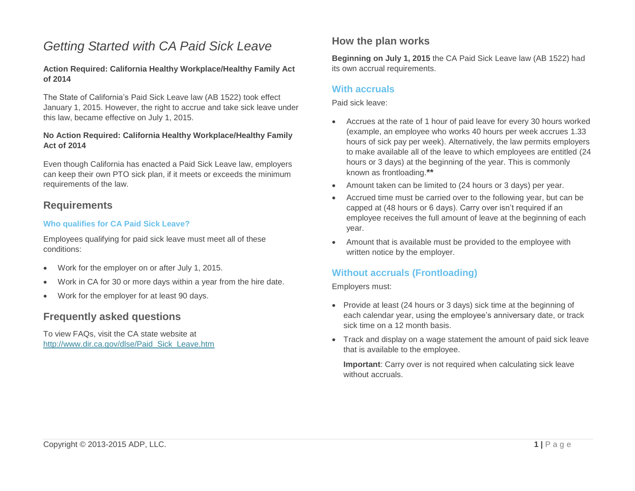# *Getting Started with CA Paid Sick Leave*

### **Action Required: California Healthy Workplace/Healthy Family Act of 2014**

The State of California's Paid Sick Leave law (AB 1522) took effect January 1, 2015. However, the right to accrue and take sick leave under this law, became effective on July 1, 2015.

### **No Action Required: California Healthy Workplace/Healthy Family Act of 2014**

Even though California has enacted a Paid Sick Leave law, employers can keep their own PTO sick plan, if it meets or exceeds the minimum requirements of the law.

### **Requirements**

### **Who qualifies for CA Paid Sick Leave?**

Employees qualifying for paid sick leave must meet all of these conditions:

- Work for the employer on or after July 1, 2015.
- Work in CA for 30 or more days within a year from the hire date.
- Work for the employer for at least 90 days.

# **Frequently asked questions**

To view FAQs, visit the CA state website at [http://www.dir.ca.gov/dlse/Paid\\_Sick\\_Leave.htm](http://www.dir.ca.gov/dlse/Paid_Sick_Leave.htm)

# **How the plan works**

**Beginning on July 1, 2015** the CA Paid Sick Leave law (AB 1522) had its own accrual requirements.

### **With accruals**

Paid sick leave:

- Accrues at the rate of 1 hour of paid leave for every 30 hours worked (example, an employee who works 40 hours per week accrues 1.33 hours of sick pay per week). Alternatively, the law permits employers to make available all of the leave to which employees are entitled (24 hours or 3 days) at the beginning of the year. This is commonly known as frontloading.**\*\***
- Amount taken can be limited to (24 hours or 3 days) per year.
- Accrued time must be carried over to the following year, but can be capped at (48 hours or 6 days). Carry over isn't required if an employee receives the full amount of leave at the beginning of each year.
- Amount that is available must be provided to the employee with written notice by the employer.

### **Without accruals (Frontloading)**

Employers must:

- Provide at least (24 hours or 3 days) sick time at the beginning of each calendar year, using the employee's anniversary date, or track sick time on a 12 month basis.
- Track and display on a wage statement the amount of paid sick leave that is available to the employee.

**Important**: Carry over is not required when calculating sick leave without accruals.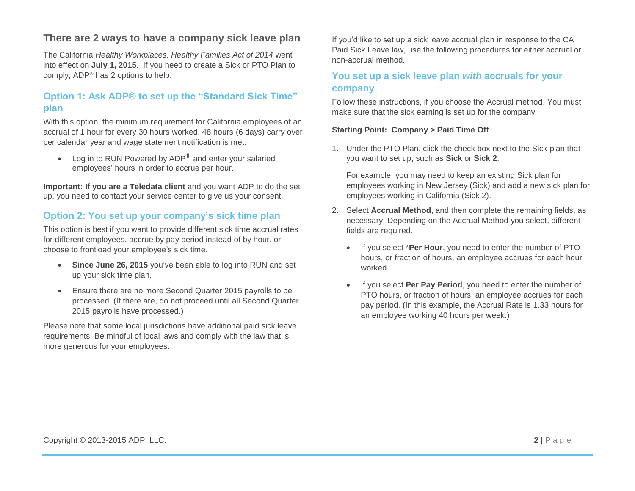# **There are 2 ways to have a company sick leave plan**

The California *Healthy Workplaces, Healthy Families Act of 2014* went into effect on **July 1, 2015**. If you need to create a Sick or PTO Plan to comply, ADP® has 2 options to help:

# **Option 1: Ask ADP® to set up the "Standard Sick Time" plan**

With this option, the minimum requirement for California employees of an accrual of 1 hour for every 30 hours worked, 48 hours (6 days) carry over per calendar year and wage statement notification is met.

• Log in to RUN Powered by ADP $^{\circledR}$  and enter your salaried employees' hours in order to accrue per hour.

**Important: If you are a Teledata client** and you want ADP to do the set up, you need to contact your service center to give us your consent.

# **Option 2: You set up your company's sick time plan**

This option is best if you want to provide different sick time accrual rates for different employees, accrue by pay period instead of by hour, or choose to frontload your employee's sick time.

- **Since June 26, 2015** you've been able to log into RUN and set up your sick time plan.
- Ensure there are no more Second Quarter 2015 payrolls to be processed. (If there are, do not proceed until all Second Quarter 2015 payrolls have processed.)

Please note that some local jurisdictions have additional paid sick leave requirements. Be mindful of local laws and comply with the law that is more generous for your employees.

If you'd like to set up a sick leave accrual plan in response to the CA Paid Sick Leave law, use the following procedures for either accrual or non-accrual method.

# **You set up a sick leave plan** *with* **accruals for your company**

Follow these instructions, if you choose the Accrual method. You must make sure that the sick earning is set up for the company.

### **Starting Point: Company > Paid Time Off**

1. Under the PTO Plan, click the check box next to the Sick plan that you want to set up, such as **Sick** or **Sick 2**.

For example, you may need to keep an existing Sick plan for employees working in New Jersey (Sick) and add a new sick plan for employees working in California (Sick 2).

- 2. Select **Accrual Method**, and then complete the remaining fields, as necessary. Depending on the Accrual Method you select, different fields are required.
	- If you select \***Per Hour**, you need to enter the number of PTO hours, or fraction of hours, an employee accrues for each hour worked.
	- If you select **Per Pay Period**, you need to enter the number of PTO hours, or fraction of hours, an employee accrues for each pay period. (In this example, the Accrual Rate is 1.33 hours for an employee working 40 hours per week.)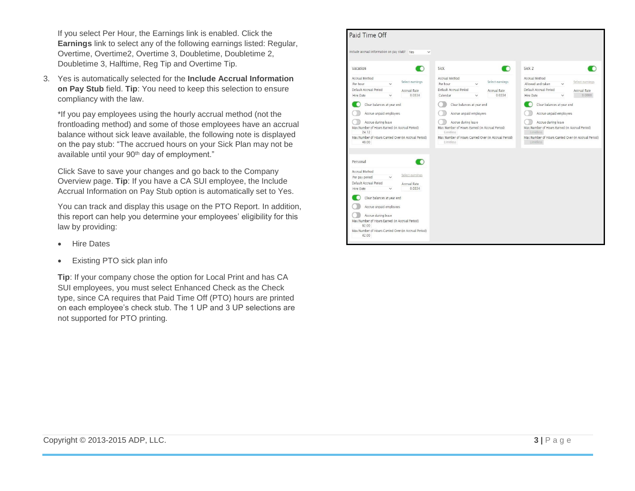If you select Per Hour, the Earnings link is enabled. Click the **Earnings** link to select any of the following earnings listed: Regular, Overtime, Overtime2, Overtime 3, Doubletime, Doubletime 2, Doubletime 3, Halftime, Reg Tip and Overtime Tip.

3. Yes is automatically selected for the **Include Accrual Information on Pay Stub** field. **Tip**: You need to keep this selection to ensure compliancy with the law.

\*If you pay employees using the hourly accrual method (not the frontloading method) and some of those employees have an accrual balance without sick leave available, the following note is displayed on the pay stub: "The accrued hours on your Sick Plan may not be available until your 90<sup>th</sup> day of employment."

Click Save to save your changes and go back to the Company Overview page. **Tip**: If you have a CA SUI employee, the Include Accrual Information on Pay Stub option is automatically set to Yes.

You can track and display this usage on the PTO Report. In addition, this report can help you determine your employees' eligibility for this law by providing:

- Hire Dates
- Existing PTO sick plan info

**Tip**: If your company chose the option for Local Print and has CA SUI employees, you must select Enhanced Check as the Check type, since CA requires that Paid Time Off (PTO) hours are printed on each employee's check stub. The 1 UP and 3 UP selections are not supported for PTO printing.

| Include accrual information on pay stub? Yes                                                                                                                                                    | $\checkmark$           |                                                                                                                                                         |                 |                                                                                                                                                         |                 |
|-------------------------------------------------------------------------------------------------------------------------------------------------------------------------------------------------|------------------------|---------------------------------------------------------------------------------------------------------------------------------------------------------|-----------------|---------------------------------------------------------------------------------------------------------------------------------------------------------|-----------------|
| Vacation                                                                                                                                                                                        | ю                      | Sick                                                                                                                                                    | r               | Sick <sub>2</sub>                                                                                                                                       |                 |
| Accrual Method<br>Per hour<br>$\checkmark$                                                                                                                                                      | Select earnings        | Accrual Method<br>Per hour<br>$\checkmark$                                                                                                              | Select earnings | Accrual Method<br>Allowed and taken                                                                                                                     | Select earnings |
| Default Accrual Period                                                                                                                                                                          | Accrual Rate           | Default Accrual Period                                                                                                                                  | Accrual Rate    | Default Accrual Period                                                                                                                                  | Accrual Rate    |
| Hire Date                                                                                                                                                                                       | 0.0334                 | Calendar<br>$\checkmark$                                                                                                                                | 0.0334          | Hire Date                                                                                                                                               | 0.0000          |
| Accrue during leave<br>Max Number of Hours Earned (in Accrual Period)<br>24.12<br>Max Number of Hours Carried Over (in Accrual Period)<br>48.00                                                 |                        | Accrue during leave<br>Max Number of Hours Earned (in Accrual Period)<br>Limitless<br>Max Number of Hours Carried Over (in Accrual Period)<br>Limitless |                 | Accrue during leave<br>Max Number of Hours Earned (in Accrual Period)<br>Limitless<br>Max Number of Hours Carried Over (in Accrual Period)<br>Limitless |                 |
| Personal                                                                                                                                                                                        |                        |                                                                                                                                                         |                 |                                                                                                                                                         |                 |
| Accrual Method<br>Per pay period<br>$\checkmark$                                                                                                                                                | Select earnings        |                                                                                                                                                         |                 |                                                                                                                                                         |                 |
| Default Accrual Period<br>Hire Date<br>$\checkmark$                                                                                                                                             | Accrual Rate<br>0.0334 |                                                                                                                                                         |                 |                                                                                                                                                         |                 |
| Clear balances at year end<br>Accrue unpaid employees<br>Accrue during leave<br>Max Number of Hours Earned (in Accrual Period)<br>62.00<br>Max Number of Hours Carried Over (in Accrual Period) |                        |                                                                                                                                                         |                 |                                                                                                                                                         |                 |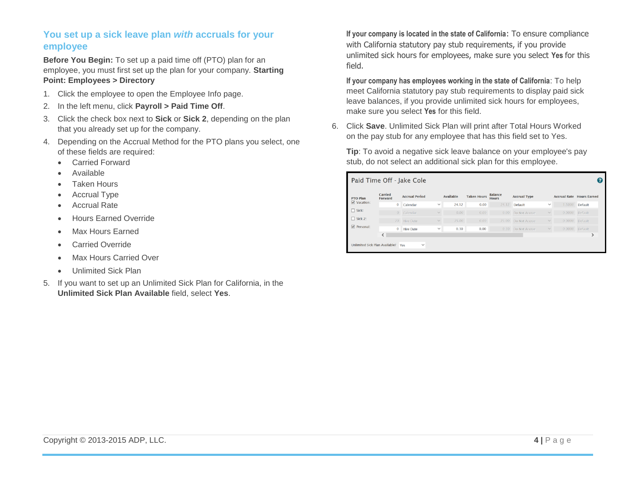# **You set up a sick leave plan** *with* **accruals for your employee**

**Before You Begin:** To set up a paid time off (PTO) plan for an employee, you must first set up the plan for your company. **Starting Point: Employees > Directory**

- 1. Click the employee to open the Employee Info page.
- 2. In the left menu, click **Payroll > Paid Time Off**.
- 3. Click the check box next to **Sick** or **Sick 2**, depending on the plan that you already set up for the company.
- 4. Depending on the Accrual Method for the PTO plans you select, one of these fields are required:
	- Carried Forward
	- Available
	- Taken Hours
	- Accrual Type
	- Accrual Rate
	- **•** Hours Earned Override
	- Max Hours Earned
	- Carried Override
	- Max Hours Carried Over
	- Unlimited Sick Plan
- 5. If you want to set up an Unlimited Sick Plan for California, in the **Unlimited Sick Plan Available** field, select **Yes**.

**If your company is located in the state of California**: To ensure compliance with California statutory pay stub requirements, if you provide unlimited sick hours for employees, make sure you select **Yes** for this field.

**If your company has employees working in the state of California**: To help meet California statutory pay stub requirements to display paid sick leave balances, if you provide unlimited sick hours for employees, make sure you select **Yes** for this field.

6. Click **Save**. Unlimited Sick Plan will print after Total Hours Worked on the pay stub for any employee that has this field set to Yes.

**Tip**: To avoid a negative sick leave balance on your employee's pay stub, do not select an additional sick plan for this employee.

| Paid Time Off - Jake Cole<br>ค        |                    |                       |              |                  |                    |                                |                     |              |        |                                  |  |  |
|---------------------------------------|--------------------|-----------------------|--------------|------------------|--------------------|--------------------------------|---------------------|--------------|--------|----------------------------------|--|--|
| <b>PTO Plan</b>                       | Carried<br>Forward | <b>Accrual Period</b> |              | <b>Available</b> | <b>Taken Hours</b> | <b>Balance</b><br><b>Hours</b> | <b>Accrual Type</b> |              |        | <b>Accrual Rate Hours Earned</b> |  |  |
| $\triangledown$ Vacation:             | $\mathbf{0}$       | Calendar              | $\checkmark$ | 24.12            | 0.00               | 24.12                          | Default             | $\checkmark$ | 1.5000 | Default                          |  |  |
| $\Box$ Sick:                          | $\overline{0}$     | Calendar              | $\checkmark$ | 0.00             | 0.00               | 0.00                           | Do Not Accrue       | $\checkmark$ | 0.0000 | Default                          |  |  |
| $\Box$ Sick 2:                        | 20                 | <b>Hire Date</b>      | $\checkmark$ | 25.00            | 0.00               | 25.00                          | Do Not Accrue       | $\checkmark$ | 0.0000 | Default                          |  |  |
| $\triangledown$ Personal:             | $\mathbf{0}$       | <b>Hire Date</b>      | $\checkmark$ | 0.30             | 0.00               | 0.30                           | Do Not Accrue       | $\checkmark$ | 0.0000 | Default                          |  |  |
|                                       | $\langle$          |                       |              |                  |                    |                                |                     |              |        | ↘                                |  |  |
| <b>Unlimited Sick Plan Available?</b> |                    | $\checkmark$<br>Yes   |              |                  |                    |                                |                     |              |        |                                  |  |  |